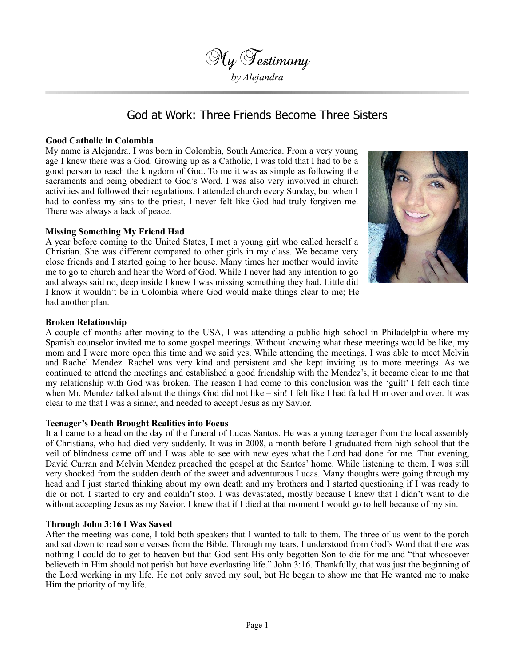

# God at Work: Three Friends Become Three Sisters

### **Good Catholic in Colombia**

My name is Alejandra. I was born in Colombia, South America. From a very young age I knew there was a God. Growing up as a Catholic, I was told that I had to be a good person to reach the kingdom of God. To me it was as simple as following the sacraments and being obedient to God's Word. I was also very involved in church activities and followed their regulations. I attended church every Sunday, but when I had to confess my sins to the priest, I never felt like God had truly forgiven me. There was always a lack of peace.

## **Missing Something My Friend Had**

A year before coming to the United States, I met a young girl who called herself a Christian. She was different compared to other girls in my class. We became very close friends and I started going to her house. Many times her mother would invite me to go to church and hear the Word of God. While I never had any intention to go and always said no, deep inside I knew I was missing something they had. Little did I know it wouldn't be in Colombia where God would make things clear to me; He had another plan.



## **Broken Relationship**

A couple of months after moving to the USA, I was attending a public high school in Philadelphia where my Spanish counselor invited me to some gospel meetings. Without knowing what these meetings would be like, my mom and I were more open this time and we said yes. While attending the meetings, I was able to meet Melvin and Rachel Mendez. Rachel was very kind and persistent and she kept inviting us to more meetings. As we continued to attend the meetings and established a good friendship with the Mendez's, it became clear to me that my relationship with God was broken. The reason I had come to this conclusion was the 'guilt' I felt each time when Mr. Mendez talked about the things God did not like – sin! I felt like I had failed Him over and over. It was clear to me that I was a sinner, and needed to accept Jesus as my Savior.

#### **Teenager's Death Brought Realities into Focus**

It all came to a head on the day of the funeral of Lucas Santos. He was a young teenager from the local assembly of Christians, who had died very suddenly. It was in 2008, a month before I graduated from high school that the veil of blindness came off and I was able to see with new eyes what the Lord had done for me. That evening, David Curran and Melvin Mendez preached the gospel at the Santos' home. While listening to them, I was still very shocked from the sudden death of the sweet and adventurous Lucas. Many thoughts were going through my head and I just started thinking about my own death and my brothers and I started questioning if I was ready to die or not. I started to cry and couldn't stop. I was devastated, mostly because I knew that I didn't want to die without accepting Jesus as my Savior. I knew that if I died at that moment I would go to hell because of my sin.

#### **Through John 3:16 I Was Saved**

After the meeting was done, I told both speakers that I wanted to talk to them. The three of us went to the porch and sat down to read some verses from the Bible. Through my tears, I understood from God's Word that there was nothing I could do to get to heaven but that God sent His only begotten Son to die for me and "that whosoever believeth in Him should not perish but have everlasting life." John 3:16. Thankfully, that was just the beginning of the Lord working in my life. He not only saved my soul, but He began to show me that He wanted me to make Him the priority of my life.